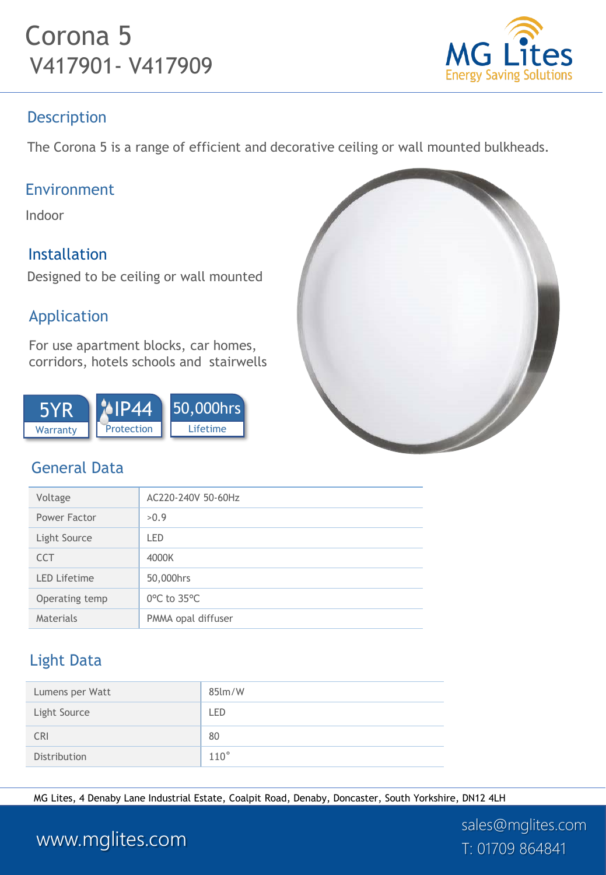# Corona 5 V417901- V417909



### Description

The Corona 5 is a range of efficient and decorative ceiling or wall mounted bulkheads.

### Environment

Indoor

### Installation

Designed to be ceiling or wall mounted

### Application

For use apartment blocks, car homes, corridors, hotels schools and stairwells



## General Data

| Voltage             | AC220-240V 50-60Hz               |
|---------------------|----------------------------------|
| Power Factor        | >0.9                             |
| Light Source        | LED                              |
| <b>CCT</b>          | 4000K                            |
| <b>LED Lifetime</b> | 50,000hrs                        |
| Operating temp      | $0^{\circ}$ C to 35 $^{\circ}$ C |
| Materials           | PMMA opal diffuser               |

## Light Data

| Lumens per Watt | $85$ lm/W     |
|-----------------|---------------|
| Light Source    | LED           |
| <b>CRI</b>      | 80            |
| Distribution    | $110^{\circ}$ |

MG Lites, 4 Denaby Lane Industrial Estate, Coalpit Road, Denaby, Doncaster, South Yorkshire, DN12 4LH



## www.mglites.com T: 01709 864841

sales@mglites.com